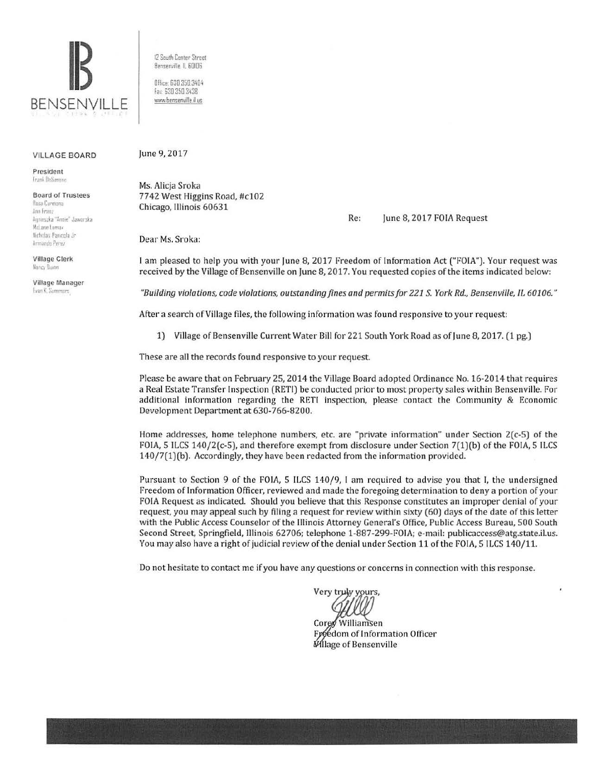

## **VILLAGE BOARD**

President Frank DeSimons

**Board of Trustees** Rosa Carmona

Ann From Aunieszka "Annie" Jawarska McLane Lomax Nicholas Pancela Je Armando Perez

**Village Clerk** Nancy Dunn

Village Manager Evan K. Summers

12 South Center Street Bensenville, IL 60106

Office: 630.350.3404 Fax: 630 350 3438 www.bensenville.il.us

June 9, 2017

Ms. Alicia Sroka 7742 West Higgins Road, #c102 Chicago, Illinois 60631

> Re: June 8, 2017 FOIA Request

Dear Ms. Sroka:

I am pleased to help you with your June 8, 2017 Freedom of Information Act ("FOIA"). Your request was received by the Village of Bensenville on June 8, 2017. You requested copies of the items indicated below:

"Building violations, code violations, outstanding fines and permits for 221 S. York Rd., Bensenville, IL 60106."

After a search of Village files, the following information was found responsive to your request:

1) Village of Bensenville Current Water Bill for 221 South York Road as of June 8, 2017. (1 pg.)

These are all the records found responsive to your request.

Please be aware that on February 25, 2014 the Village Board adopted Ordinance No. 16-2014 that requires a Real Estate Transfer Inspection (RETI) be conducted prior to most property sales within Bensenville. For additional information regarding the RETI inspection, please contact the Community & Economic Development Department at 630-766-8200.

Home addresses, home telephone numbers, etc. are "private information" under Section  $2(c-5)$  of the FOIA, 5 ILCS 140/2(c-5), and therefore exempt from disclosure under Section 7(1)(b) of the FOIA, 5 ILCS 140/7(1)(b). Accordingly, they have been redacted from the information provided.

Pursuant to Section 9 of the FOIA, 5 ILCS 140/9, I am required to advise you that I, the undersigned Freedom of Information Officer, reviewed and made the foregoing determination to deny a portion of your FOIA Request as indicated. Should you believe that this Response constitutes an improper denial of your request, you may appeal such by filing a request for review within sixty (60) days of the date of this letter with the Public Access Counselor of the Illinois Attorney General's Office, Public Access Bureau, 500 South Second Street, Springfield, Illinois 62706; telephone 1-887-299-FOIA; e-mail: publicaccess@atg.state.il.us. You may also have a right of judicial review of the denial under Section 11 of the FOIA, 5 ILCS 140/11.

Do not hesitate to contact me if you have any questions or concerns in connection with this response.

Very truly yours,

Williamsen Core Freedom of Information Officer **Mlage of Bensenville**